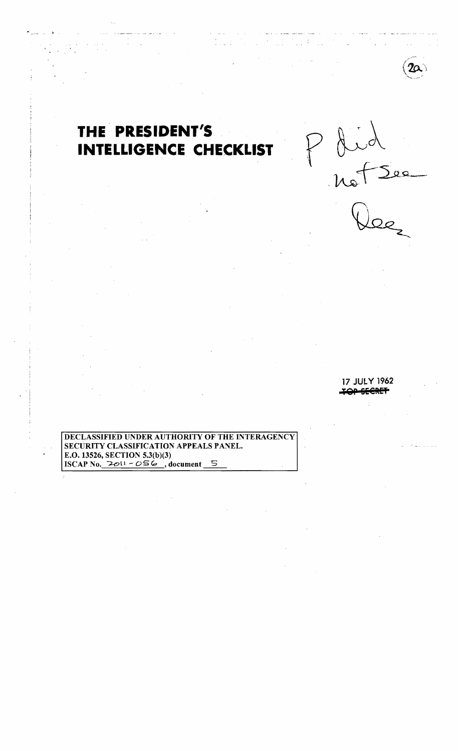## THE PRESIDENT'S **INTELLIGENCE CHECKLIST**

 $\label{eq:2} \begin{array}{ll} \mathbf{A} & \mathbf{A} & \mathbf{A} \\ \mathbf{A} & \mathbf{A} & \mathbf{A} \\ \mathbf{A} & \mathbf{A} & \mathbf{A} \end{array}$ 

aud 

 $\label{eq:2} \frac{1}{2}\int_{\mathbb{R}^3}\frac{1}{\sqrt{2\pi}}\left(\frac{1}{\sqrt{2\pi}}\int_{\mathbb{R}^3}\frac{1}{\sqrt{2\pi}}\left(\frac{1}{\sqrt{2\pi}}\int_{\mathbb{R}^3}\frac{1}{\sqrt{2\pi}}\int_{\mathbb{R}^3}\frac{1}{\sqrt{2\pi}}\int_{\mathbb{R}^3}\frac{1}{\sqrt{2\pi}}\frac{1}{\sqrt{2\pi}}\frac{1}{\sqrt{2\pi}}\frac{1}{\sqrt{2\pi}}\frac{1}{\sqrt{2\pi}}\frac{1}{\sqrt{2\pi}}\frac{1$ 

17 JULY 1962 **JOP SECRET** 

DECLASSIFIED UNDER AUTHORITY OF THE INTERAGENCY SECURITY CLASSIFICATION APPEALS PANEL. E.O. 13526, SECTION 5.3(b)(3) ISCAP No.  $201 - 056$ , document 5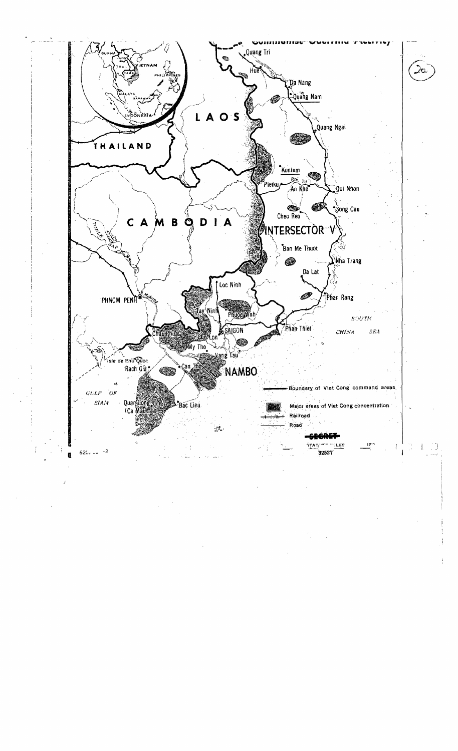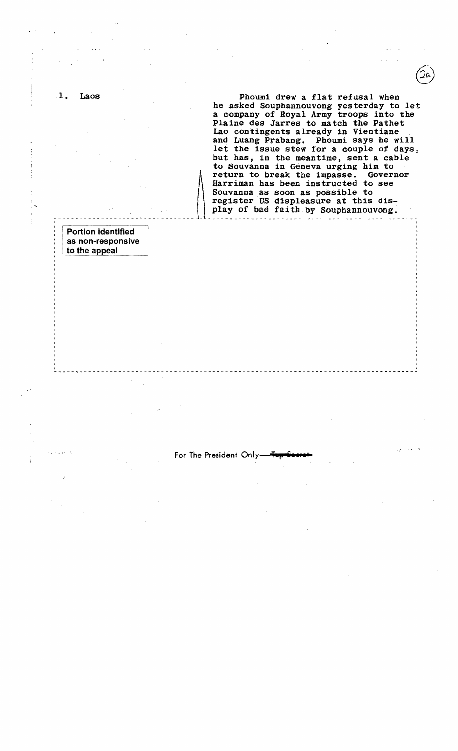- ---- -------- -------- ---------- ------------------------------------------ ------ --- ---- -------- ---- ------------------------ ·1. Laos Phoumi drew a flat refusal when he asked Souphannouvong yesterday to let a company of Royal Army troops into the Plaine des Jarres to match the Pathet Lao contingents already in Vientiane and Luang Prabang. Phoumi says he will let the issue stew for a couple of days, but has, in the meantime, sent a cable to Souvanna in Geneva urging him to return to break the impasse. Governor Harriman has been instructed to see Souvanna as soon as possible to register US displeasure at this dis-<br>play of bad faith by Souphannouvong.  $\mathbf{I}$  is a set of the contract of the contract of the contract of the contract of the contract of the contract of the contract of the contract of the contract of the contract of the contract of the contract of the cont If I are all the contract of the contract  $\mathbf{I}$  and  $\mathbf{I}$  are all the contract of the contract of the contract of the contract of the contract of the contract of the contract of the contract of the contract of the c Portion identified  $\blacksquare$ as non-responsive to the appeal For The President Only I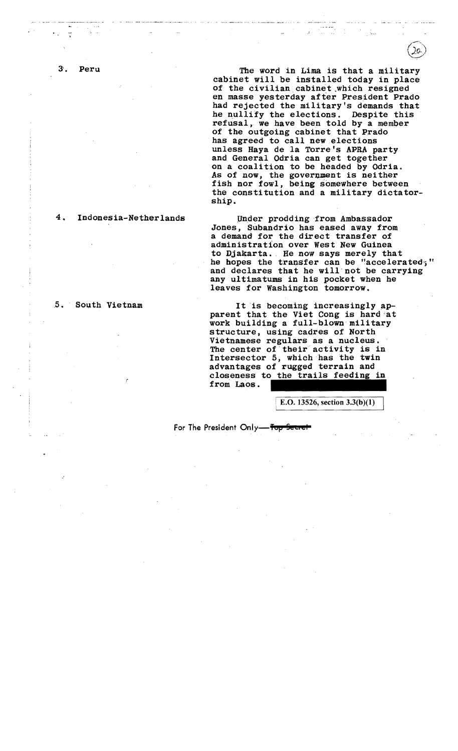3'. Peru The word in Lima is that a military cabinet will be installed today in place of the civilian. cabinet ,which resigned en masse yesterday after President Prado had rejected the military's demands that he nullify the elections. Despite this refusal, we have been told by a member of the outgeing cabinet that Prado has agreed to call new elections unless Haya de la Torre's APRA party and General Odria can get together on a coalition to be headed by Odria. As of now, the government is neither fish nor fowl, being somewhere between the constitution and a military dictatorship.

4. Indonesia-Netherlands Under prodding from Ambassador Jones, Subandrio has eased away from a demand for the direct transfer of administration over West New Guinea to DJakarta. . He now says merely that he hopes the transfer can be "accelerated," and declares that he will'not be carrying any ultimatums in his pocket when he leaves for Washington tomorrow.

5. South Vietnam It is becoming increasingly apparent that the Viet Cong is hard 'at work building a full-blown military structure, using cadres of North Vietnamese regulars as a nucleus. The center of their activity is in Intersector 5, which has the twin advantages of rugged terrain and closeness to the trails feeding in from Laos.

E.O. 13526, section 3.3(b)(1)

For The President Only **'fop Scese!**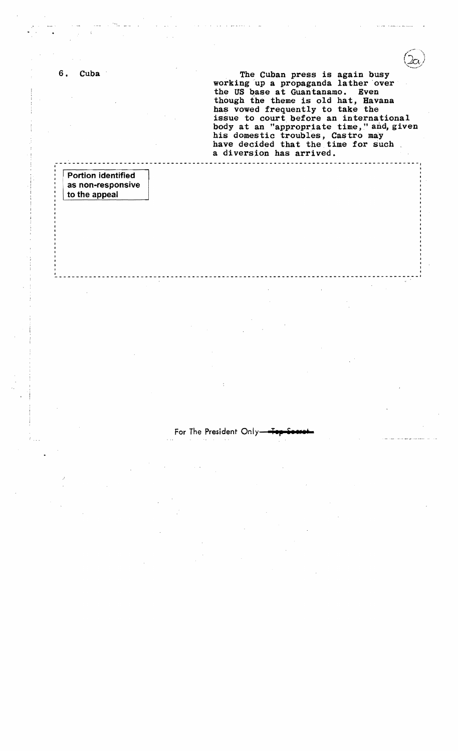I I 6. Cuba The Cuban press is again busy<br>working up a propaganda lather over the US base at Guantanamo. Even though the theme is old hat, Havana has vowed frequently to take the issue to court before an international body at an "appropriate time," and, given his domestic troubles, Castro may have decided that the time for such<br>a diversion has arrived.

---------------<br>J

## ---------------------- ----------- -- -- -- -- ----- -- -----------------------------1 : Portion identified as non-responsive to the appeal

**For The President Only-**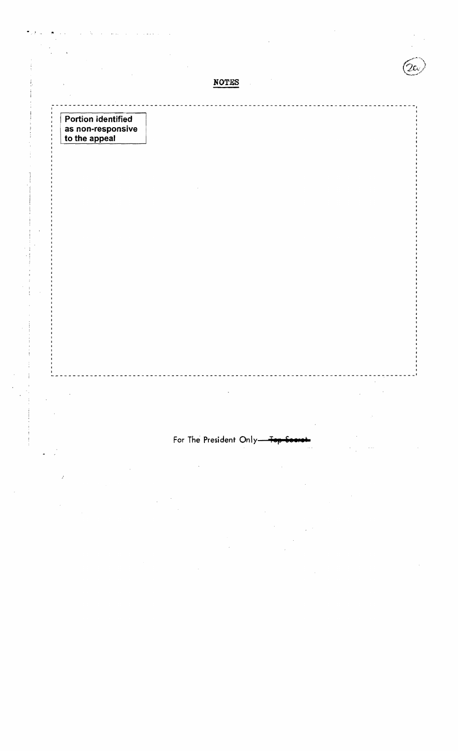